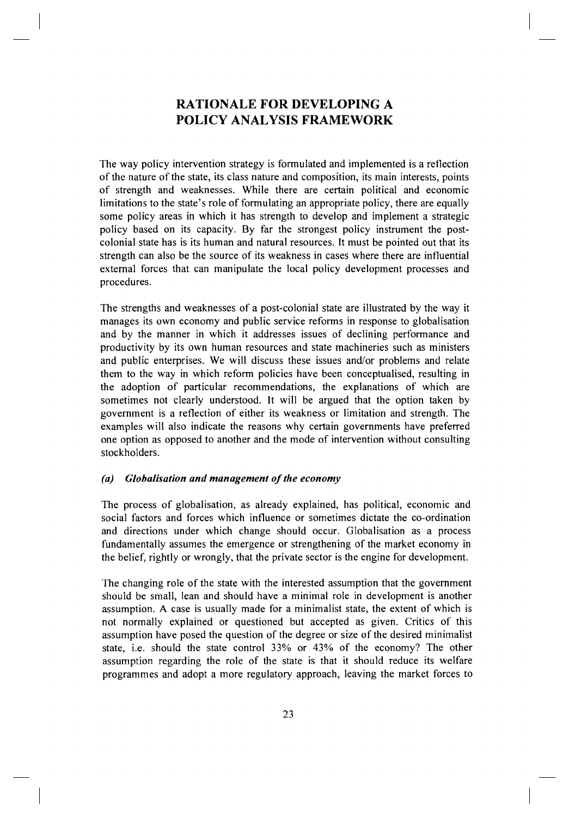# **RATIONALE FOR DEVELOPING A POLICY ANALYSIS FRAMEWORK**

The way policy intervention strategy is formulated and implemented is a reflection of the nature of the state, its class nature and composition, its main interests, points of strength and weaknesses. While there are certain political and economic limitations to the state's role of formulating an appropriate policy, there are equally some policy areas in which it has strength to develop and implement a strategic policy based on its capacity. By far the strongest policy instrument the postcolonial state has is its human and natural resources. It must be pointed out that its strength can also be the source of its weakness in cases where there are influential external forces that can manipulate the local policy development processes and procedures.

The strengths and weaknesses of a post-colonial state are illustrated by the way it manages its own economy and public service reforms in response to globalisation and by the manner in which it addresses issues of declining performance and productivity by its own human resources and state machineries such as ministers and public enterprises. We will discuss these issues and/or problems and relate them to the way in which reform policies have been conceptualised, resulting in the adoption of particular recommendations, the explanations of which are sometimes not clearly understood. It will be argued that the option taken by government is a reflection of either its weakness or limitation and strength. The examples will also indicate the reasons why certain governments have preferred one option as opposed to another and the mode of intervention without consulting stockholders.

## *(a) Globalisation and management of the economy*

The process of globalisation, as already explained, has political, economic and social factors and forces which influence or sometimes dictate the co-ordination and directions under which change should occur. Globalisation as a process fundamentally assumes the emergence or strengthening of the market economy in the belief, rightly or wrongly, that the private sector is the engine for development.

The changing role of the state with the interested assumption that the government should be small, lean and should have a minimal role in development is another assumption. A case is usually made for a minimalist state, the extent of which is not normally explained or questioned but accepted as given. Critics of this assumption have posed the question of the degree or size of the desired minimalist state, i.e. should the state control 33% or 43% of the economy? The other assumption regarding the role of the state is that it should reduce its welfare programmes and adopt a more regulatory approach, leaving the market forces to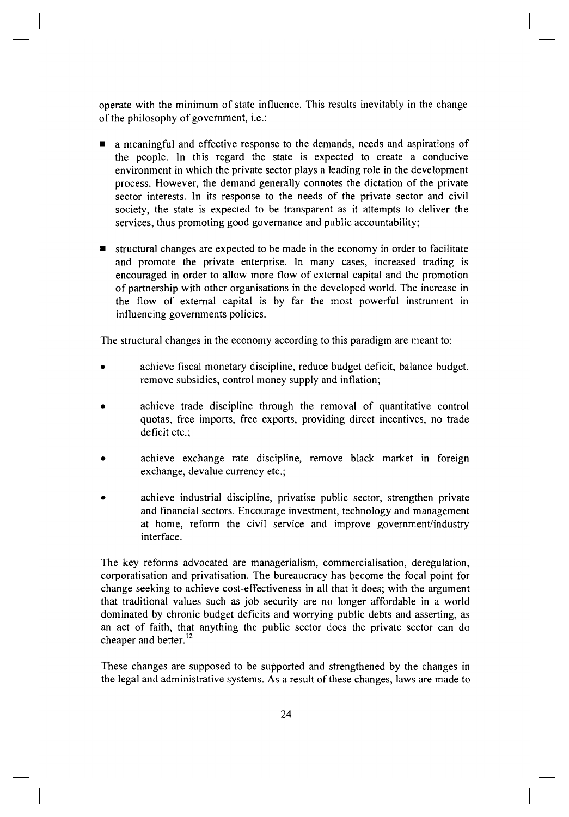operate with the minimum of state influence. This results inevitably in the change of the philosophy of government, i.e.:

- a meaningful and effective response to the demands, needs and aspirations of the people. In this regard the state is expected to create a conducive environment in which the private sector plays a leading role in the development process. However, the demand generally connotes the dictation of the private sector interests. In its response to the needs of the private sector and civil society, the state is expected to be transparent as it attempts to deliver the services, thus promoting good governance and public accountability;
- $\blacksquare$  structural changes are expected to be made in the economy in order to facilitate and promote the private enterprise. In many cases, increased trading is encouraged in order to allow more flow of external capital and the promotion of partnership with other organisations in the developed world. The increase in the flow of external capital is by far the most powerful instrument in influencing governments policies.

The structural changes in the economy according to this paradigm are meant to:

- achieve fiscal monetary discipline, reduce budget deficit, balance budget, remove subsidies, control money supply and inflation;
- achieve trade discipline through the removal of quantitative control quotas, free imports, free exports, providing direct incentives, no trade deficit etc.;
- achieve exchange rate discipline, remove black market in foreign exchange, devalue currency etc.;
- achieve industrial discipline, privatise public sector, strengthen private and financial sectors. Encourage investment, technology and management at home, reform the civil service and improve government/industry interface.

The key reforms advocated are managerialism, commercialisation, deregulation, corporatisation and privatisation. The bureaucracy has become the focal point for change seeking to achieve cost-effectiveness in all that it does; with the argument that traditional values such as job security are no longer affordable in a world dominated by chronic budget deficits and worrying public debts and asserting, as an act of faith, that anything the public sector does the private sector can do cheaper and better.<sup>12</sup>

These changes are supposed to be supported and strengthened by the changes in the legal and administrative systems. As a result of these changes, laws are made to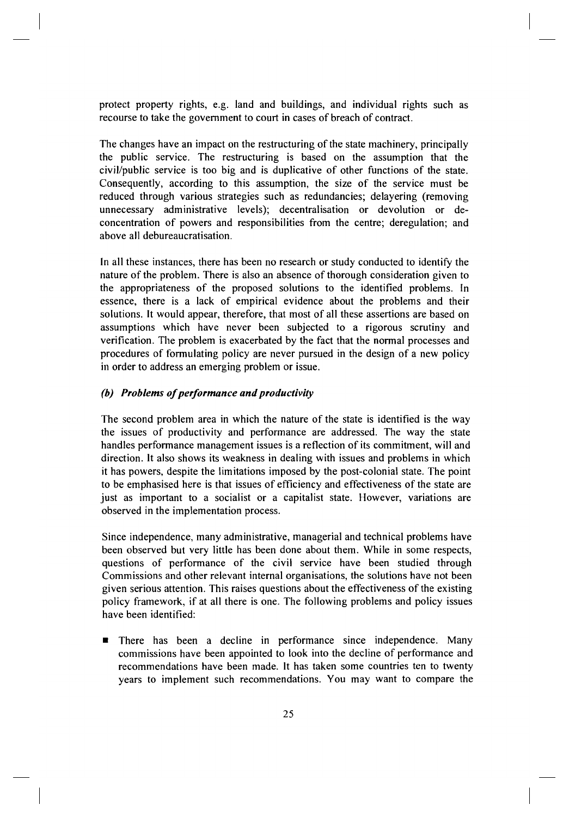protect property rights, e.g. land and buildings, and individual rights such as recourse to take the government to court in cases of breach of contract.

The changes have an impact on the restructuring of the state machinery, principally the public service. The restructuring is based on the assumption that the civil/public service is too big and is duplicative of other functions of the state. Consequently, according to this assumption, the size of the service must be reduced through various strategies such as redundancies; delayering (removing unnecessary administrative levels); decentralisation or devolution or deconcentration of powers and responsibilities from the centre; deregulation; and above all debureaucratisation.

In all these instances, there has been no research or study conducted to identify the nature of the problem. There is also an absence of thorough consideration given to the appropriateness of the proposed solutions to the identified problems. In essence, there is a lack of empirical evidence about the problems and their solutions. It would appear, therefore, that most of all these assertions are based on assumptions which have never been subjected to a rigorous scrutiny and verification. The problem is exacerbated by the fact that the normal processes and procedures of formulating policy are never pursued in the design of a new policy in order to address an emerging problem or issue.

## *(b) Problems of performance and productivity*

The second problem area in which the nature of the state is identified is the way the issues of productivity and performance are addressed. The way the state handles performance management issues is a reflection of its commitment, will and direction. It also shows its weakness in dealing with issues and problems in which it has powers, despite the limitations imposed by the post-colonial state. The point to be emphasised here is that issues of efficiency and effectiveness of the state are just as important to a socialist or a capitalist state. However, variations are observed in the implementation process.

Since independence, many administrative, managerial and technical problems have been observed but very little has been done about them. While in some respects, questions of performance of the civil service have been studied through Commissions and other relevant internal organisations, the solutions have not been given serious attention. This raises questions about the effectiveness of the existing policy framework, if at all there is one. The following problems and policy issues have been identified:

**•** There has been a decline in performance since independence. Many commissions have been appointed to look into the decline of performance and recommendations have been made. It has taken some countries ten to twenty years to implement such recommendations. You may want to compare the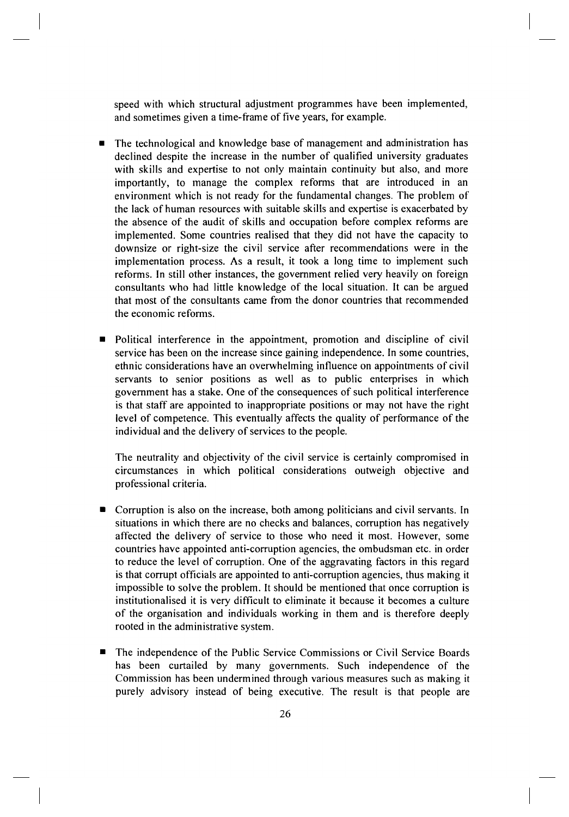speed with which structural adjustment programmes have been implemented, and sometimes given a time-frame of five years, for example.

- The technological and knowledge base of management and administration has declined despite the increase in the number of qualified university graduates with skills and expertise to not only maintain continuity but also, and more importantly, to manage the complex reforms that are introduced in an environment which is not ready for the fundamental changes. The problem of the lack of human resources with suitable skills and expertise is exacerbated by the absence of the audit of skills and occupation before complex reforms are implemented. Some countries realised that they did not have the capacity to downsize or right-size the civil service after recommendations were in the implementation process. As a result, it took a long time to implement such reforms. In still other instances, the government relied very heavily on foreign consultants who had little knowledge of the local situation. It can be argued that most of the consultants came from the donor countries that recommended the economic reforms.
- Political interference in the appointment, promotion and discipline of civil service has been on the increase since gaining independence. In some countries, ethnic considerations have an overwhelming influence on appointments of civil servants to senior positions as well as to public enterprises in which government has a stake. One of the consequences of such political interference is that staff are appointed to inappropriate positions or may not have the right level of competence. This eventually affects the quality of performance of the individual and the delivery of services to the people.

The neutrality and objectivity of the civil service is certainly compromised in circumstances in which political considerations outweigh objective and professional criteria.

- Corruption is also on the increase, both among politicians and civil servants. In situations in which there are no checks and balances, corruption has negatively affected the delivery of service to those who need it most. However, some countries have appointed anti-corruption agencies, the ombudsman etc. in order to reduce the level of corruption. One of the aggravating factors in this regard is that corrupt officials are appointed to anti-corruption agencies, thus making it impossible to solve the problem. It should be mentioned that once corruption is institutionalised it is very difficult to eliminate it because it becomes a culture of the organisation and individuals working in them and is therefore deeply rooted in the administrative system.
- The independence of the Public Service Commissions or Civil Service Boards has been curtailed by many governments. Such independence of the Commission has been undermined through various measures such as making it purely advisory instead of being executive. The result is that people are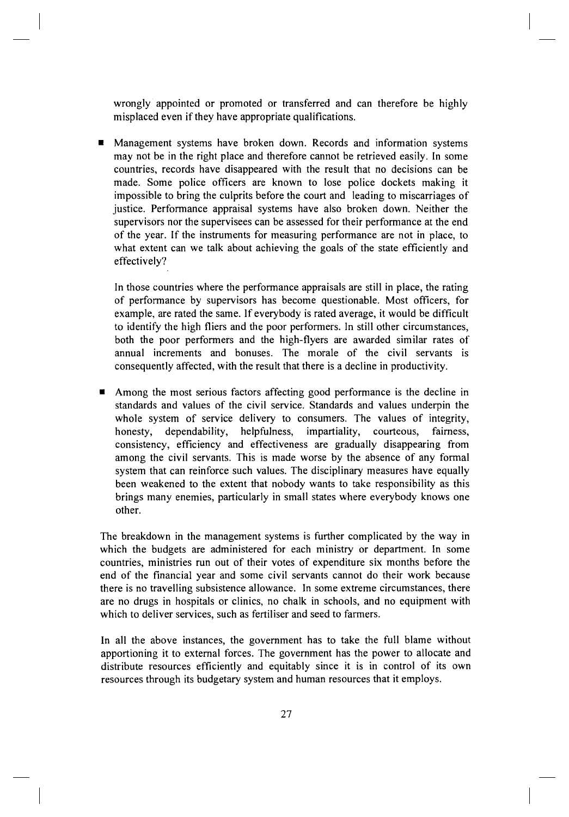wrongly appointed or promoted or transferred and can therefore be highly misplaced even if they have appropriate qualifications.

■ Management systems have broken down. Records and information systems may not be in the right place and therefore cannot be retrieved easily. In some countries, records have disappeared with the result that no decisions can be made. Some police officers are known to lose police dockets making it impossible to bring the culprits before the court and leading to miscarriages of justice. Performance appraisal systems have also broken down. Neither the supervisors nor the supervisees can be assessed for their performance at the end of the year. If the instruments for measuring performance are not in place, to what extent can we talk about achieving the goals of the state efficiently and effectively?

In those countries where the performance appraisals are still in place, the rating of performance by supervisors has become questionable. Most officers, for example, are rated the same. If everybody is rated average, it would be difficult to identify the high fliers and the poor performers. In still other circumstances, both the poor performers and the high-flyers are awarded similar rates of annual increments and bonuses. The morale of the civil servants is consequently affected, with the result that there is a decline in productivity.

• Among the most serious factors affecting good performance is the decline in standards and values of the civil service. Standards and values underpin the whole system of service delivery to consumers. The values of integrity, honesty, dependability, helpfulness, impartiality, courteous, fairness, consistency, efficiency and effectiveness are gradually disappearing from among the civil servants. This is made worse by the absence of any formal system that can reinforce such values. The disciplinary measures have equally been weakened to the extent that nobody wants to take responsibility as this brings many enemies, particularly in small states where everybody knows one other.

The breakdown in the management systems is further complicated by the way in which the budgets are administered for each ministry or department. In some countries, ministries run out of their votes of expenditure six months before the end of the financial year and some civil servants cannot do their work because there is no travelling subsistence allowance. In some extreme circumstances, there are no drugs in hospitals or clinics, no chalk in schools, and no equipment with which to deliver services, such as fertiliser and seed to farmers.

In all the above instances, the government has to take the full blame without apportioning it to external forces. The government has the power to allocate and distribute resources efficiently and equitably since it is in control of its own resources through its budgetary system and human resources that it employs.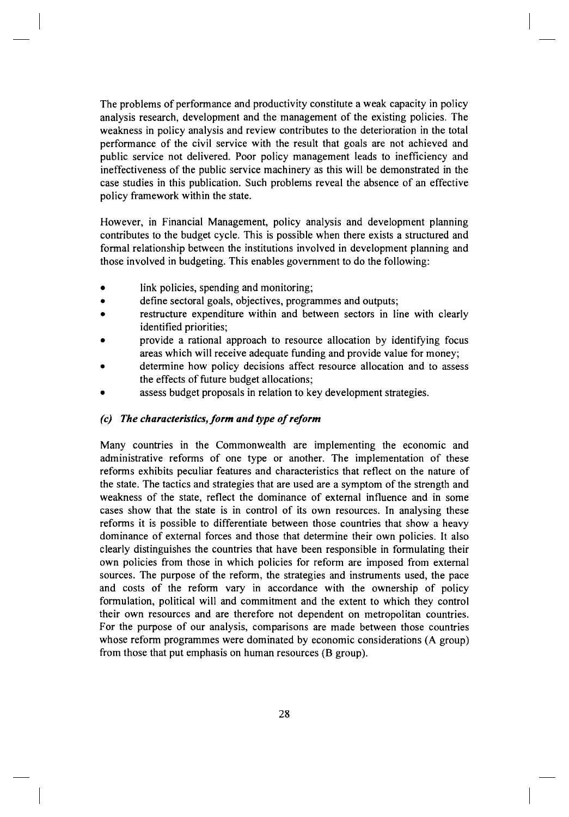The problems of performance and productivity constitute a weak capacity in policy analysis research, development and the management of the existing policies. The weakness in policy analysis and review contributes to the deterioration in the total performance of the civil service with the result that goals are not achieved and public service not delivered. Poor policy management leads to inefficiency and ineffectiveness of the public service machinery as this will be demonstrated in the case studies in this publication. Such problems reveal the absence of an effective policy framework within the state.

However, in Financial Management, policy analysis and development planning contributes to the budget cycle. This is possible when there exists a structured and formal relationship between the institutions involved in development planning and those involved in budgeting. This enables government to do the following:

- link policies, spending and monitoring;
- define sectoral goals, objectives, programmes and outputs;
- restructure expenditure within and between sectors in line with clearly identified priorities;
- provide a rational approach to resource allocation by identifying focus areas which will receive adequate funding and provide value for money;
- determine how policy decisions affect resource allocation and to assess the effects of future budget allocations;
- assess budget proposals in relation to key development strategies.

## *(c) The characteristics, form and type of reform*

Many countries in the Commonwealth are implementing the economic and administrative reforms of one type or another. The implementation of these reforms exhibits peculiar features and characteristics that reflect on the nature of the state. The tactics and strategies that are used are a symptom of the strength and weakness of the state, reflect the dominance of external influence and in some cases show that the state is in control of its own resources. In analysing these reforms it is possible to differentiate between those countries that show a heavy dominance of external forces and those that determine their own policies. It also clearly distinguishes the countries that have been responsible in formulating their own policies from those in which policies for reform are imposed from external sources. The purpose of the reform, the strategies and instruments used, the pace and costs of the reform vary in accordance with the ownership of policy formulation, political will and commitment and the extent to which they control their own resources and are therefore not dependent on metropolitan countries. For the purpose of our analysis, comparisons are made between those countries whose reform programmes were dominated by economic considerations (A group) from those that put emphasis on human resources (B group).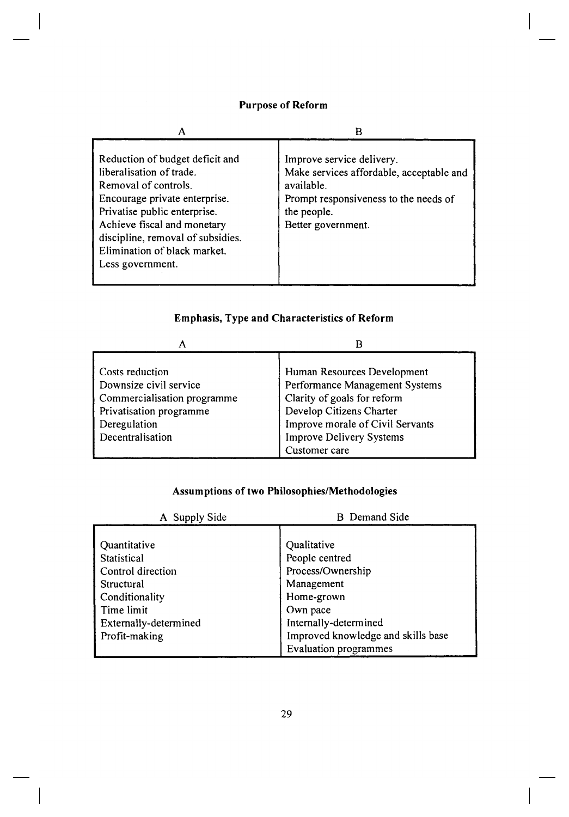## **Purpose of Reform**

| Reduction of budget deficit and<br>liberalisation of trade.<br>Removal of controls.<br>Encourage private enterprise.<br>Privatise public enterprise.<br>Achieve fiscal and monetary<br>discipline, removal of subsidies.<br>Elimination of black market.<br>Less government. | Improve service delivery.<br>Make services affordable, acceptable and<br>available.<br>Prompt responsiveness to the needs of<br>the people.<br>Better government. |
|------------------------------------------------------------------------------------------------------------------------------------------------------------------------------------------------------------------------------------------------------------------------------|-------------------------------------------------------------------------------------------------------------------------------------------------------------------|

# **Emphasis, Type and Characteristics of Reform**

| А                                                                                                                                       | В                                                                                                                                                                                                                |
|-----------------------------------------------------------------------------------------------------------------------------------------|------------------------------------------------------------------------------------------------------------------------------------------------------------------------------------------------------------------|
| Costs reduction<br>Downsize civil service<br>Commercialisation programme<br>Privatisation programme<br>Deregulation<br>Decentralisation | Human Resources Development<br>Performance Management Systems<br>Clarity of goals for reform<br>Develop Citizens Charter<br>Improve morale of Civil Servants<br><b>Improve Delivery Systems</b><br>Customer care |

## **Assumptions of two Philosophies/Methodologie s**

| A Supply Side         | <b>B</b> Demand Side               |
|-----------------------|------------------------------------|
|                       |                                    |
| Quantitative          | Qualitative                        |
| Statistical           | People centred                     |
| Control direction     | Process/Ownership                  |
| Structural            | Management                         |
| Conditionality        | Home-grown                         |
| Time limit            | Own pace                           |
| Externally-determined | Internally-determined              |
| Profit-making         | Improved knowledge and skills base |
|                       | <b>Evaluation programmes</b>       |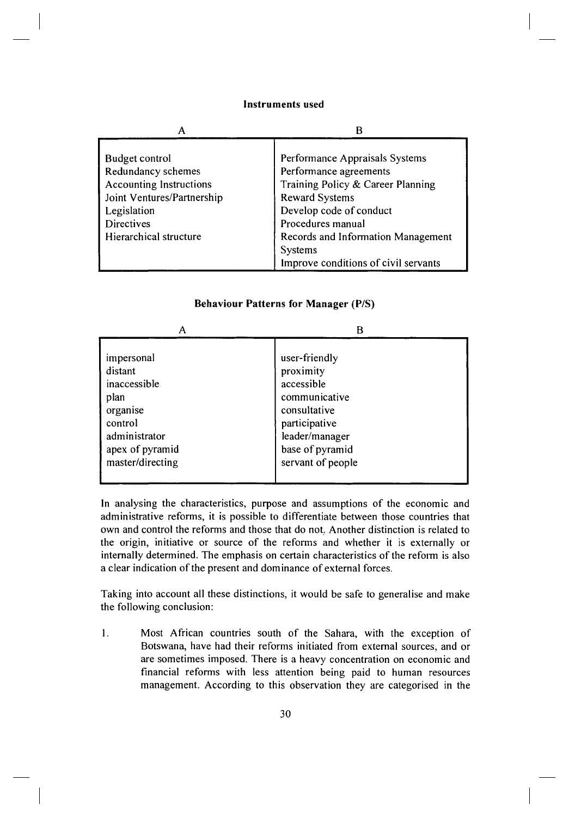#### **Instruments used**

| Α                              | В                                                                                            |
|--------------------------------|----------------------------------------------------------------------------------------------|
| <b>Budget control</b>          | Performance Appraisals Systems                                                               |
| Redundancy schemes             | Performance agreements                                                                       |
| <b>Accounting Instructions</b> | Training Policy & Career Planning                                                            |
| Joint Ventures/Partnership     | <b>Reward Systems</b>                                                                        |
| Legislation                    | Develop code of conduct                                                                      |
| <b>Directives</b>              | Procedures manual                                                                            |
| Hierarchical structure         | Records and Information Management<br><b>Systems</b><br>Improve conditions of civil servants |

#### $\mathsf A$  B impersonal distant inaccessible plan organise control administrator apex of pyramid master/directing user-friendly proximity accessible communicative consultative participative leader/manager base of pyramid servant of people

## **Behaviour Patterns for Manager (P/S)**

In analysing the characteristics, purpose and assumptions of the economic and administrative reforms, it is possible to differentiate between those countries that own and control the reforms and those that do not. Another distinction is related to the origin, initiative or source of the reforms and whether it is externally or internally determined. The emphasis on certain characteristics of the reform is also a clear indication of the present and dominance of external forces.

Taking into account all these distinctions, it would be safe to generalise and make the following conclusion:

1. Most African countries south of the Sahara, with the exception of Botswana, have had their reforms initiated from external sources, and or are sometimes imposed. There is a heavy concentration on economic and financial reforms with less attention being paid to human resources management. According to this observation they are categorised in the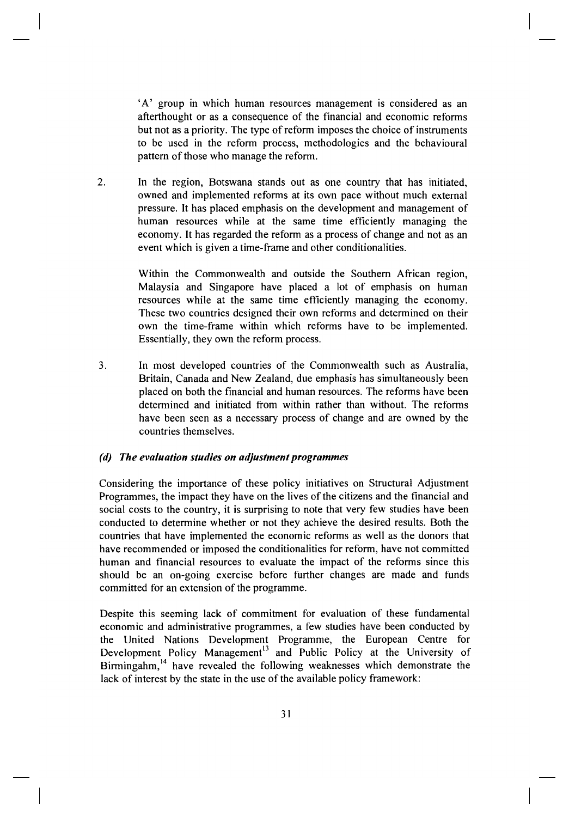'A' group in which human resources management is considered as an afterthought or as a consequence of the financial and economic reforms but not as a priority. The type of reform imposes the choice of instruments to be used in the reform process, methodologies and the behavioural pattern of those who manage the reform.

2. In the region, Botswana stands out as one country that has initiated, owned and implemented reforms at its own pace without much external pressure. It has placed emphasis on the development and management of human resources while at the same time efficiently managing the economy. It has regarded the reform as a process of change and not as an event which is given a time-frame and other conditionalities.

> Within the Commonwealth and outside the Southern African region, Malaysia and Singapore have placed a lot of emphasis on human resources while at the same time efficiently managing the economy. These two countries designed their own reforms and determined on their own the time-frame within which reforms have to be implemented. Essentially, they own the reform process.

3. In most developed countries of the Commonwealth such as Australia, Britain, Canada and New Zealand, due emphasis has simultaneously been placed on both the financial and human resources. The reforms have been determined and initiated from within rather than without. The reforms have been seen as a necessary process of change and are owned by the countries themselves.

## *(d) The evaluation studies on adjustment programmes*

Considering the importance of these policy initiatives on Structural Adjustment Programmes, the impact they have on the lives of the citizens and the financial and social costs to the country, it is surprising to note that very few studies have been conducted to determine whether or not they achieve the desired results. Both the countries that have implemented the economic reforms as well as the donors that have recommended or imposed the conditionalities for reform, have not committed human and financial resources to evaluate the impact of the reforms since this should be an on-going exercise before further changes are made and funds committed for an extension of the programme.

Despite this seeming lack of commitment for evaluation of these fundamental economic and administrative programmes, a few studies have been conducted by the United Nations Development Programme, the European Centre for Development Policy Management<sup>[13](#page--1-0)</sup> and Public Policy at the University of Birmingahm,<sup>[14](#page--1-0)</sup> have revealed the following weaknesses which demonstrate the lack of interest by the state in the use of the available policy framework: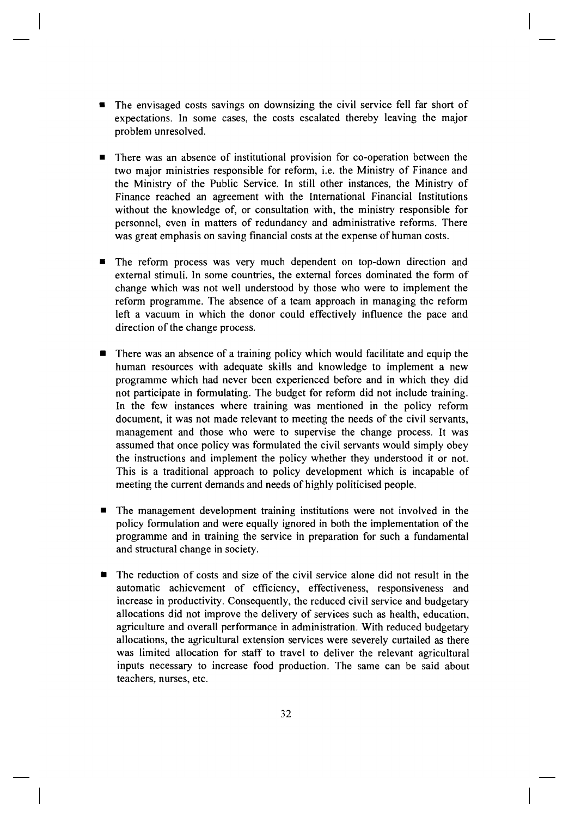- The envisaged costs savings on downsizing the civil service fell far short of expectations. In some cases, the costs escalated thereby leaving the major problem unresolved.
- There was an absence of institutional provision for co-operation between the two major ministries responsible for reform, i.e. the Ministry of Finance and the Ministry of the Public Service. In still other instances, the Ministry of Finance reached an agreement with the International Financial Institutions without the knowledge of, or consultation with, the ministry responsible for personnel, even in matters of redundancy and administrative reforms. There was great emphasis on saving financial costs at the expense of human costs.
- The reform process was very much dependent on top-down direction and external stimuli. In some countries, the external forces dominated the form of change which was not well understood by those who were to implement the reform programme. The absence of a team approach in managing the reform left a vacuum in which the donor could effectively influence the pace and direction of the change process.
- There was an absence of a training policy which would facilitate and equip the human resources with adequate skills and knowledge to implement a new programme which had never been experienced before and in which they did not participate in formulating. The budget for reform did not include training. In the few instances where training was mentioned in the policy reform document, it was not made relevant to meeting the needs of the civil servants, management and those who were to supervise the change process. It was assumed that once policy was formulated the civil servants would simply obey the instructions and implement the policy whether they understood it or not. This is a traditional approach to policy development which is incapable of meeting the current demands and needs of highly politicised people.
- The management development training institutions were not involved in the policy formulation and were equally ignored in both the implementation of the programme and in training the service in preparation for such a fundamental and structural change in society.
- The reduction of costs and size of the civil service alone did not result in the automatic achievement of efficiency, effectiveness, responsiveness and increase in productivity. Consequently, the reduced civil service and budgetary allocations did not improve the delivery of services such as health, education, agriculture and overall performance in administration. With reduced budgetary allocations, the agricultural extension services were severely curtailed as there was limited allocation for staff to travel to deliver the relevant agricultural inputs necessary to increase food production. The same can be said about teachers, nurses, etc.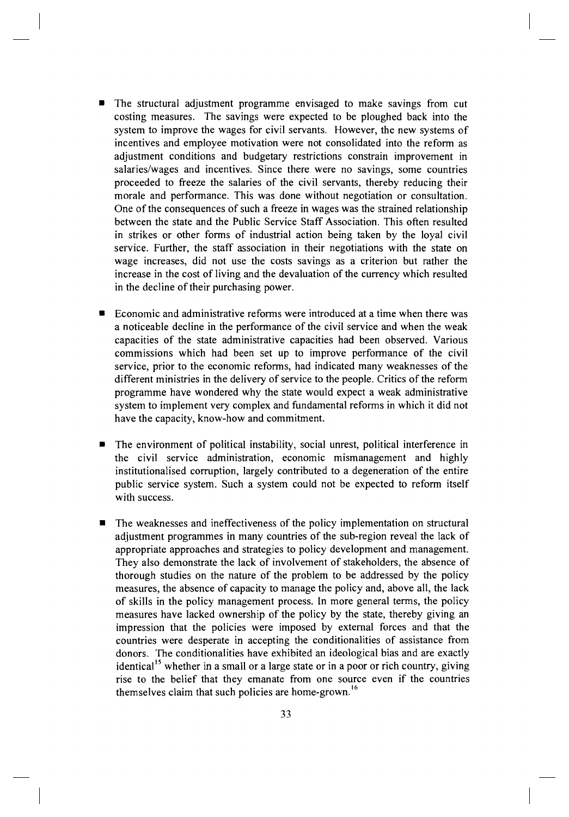- The structural adjustment programme envisaged to make savings from cut costing measures. The savings were expected to be ploughed back into the system to improve the wages for civil servants. However, the new systems of incentives and employee motivation were not consolidated into the reform as adjustment conditions and budgetary restrictions constrain improvement in salaries/wages and incentives. Since there were no savings, some countries proceeded to freeze the salaries of the civil servants, thereby reducing their morale and performance. This was done without negotiation or consultation. One of the consequences of such a freeze in wages was the strained relationship between the state and the Public Service Staff Association. This often resulted in strikes or other forms of industrial action being taken by the loyal civil service. Further, the staff association in their negotiations with the state on wage increases, did not use the costs savings as a criterion but rather the increase in the cost of living and the devaluation of the currency which resulted in the decline of their purchasing power.
- Economic and administrative reforms were introduced at a time when there was a noticeable decline in the performance of the civil service and when the weak capacities of the state administrative capacities had been observed. Various commissions which had been set up to improve performance of the civil service, prior to the economic reforms, had indicated many weaknesses of the different ministries in the delivery of service to the people. Critics of the reform programme have wondered why the state would expect a weak administrative system to implement very complex and fundamental reforms in which it did not have the capacity, know-how and commitment.
- The environment of political instability, social unrest, political interference in the civil service administration, economic mismanagement and highly institutionalised corruption, largely contributed to a degeneration of the entire public service system. Such a system could not be expected to reform itself with success.
- The weaknesses and ineffectiveness of the policy implementation on structural adjustment programmes in many countries of the sub-region reveal the lack of appropriate approaches and strategies to policy development and management. They also demonstrate the lack of involvement of stakeholders, the absence of thorough studies on the nature of the problem to be addressed by the policy measures, the absence of capacity to manage the policy and, above all, the lack of skills in the policy management process. In more general terms, the policy measures have lacked ownership of the policy by the state, thereby giving an impression that the policies were imposed by external forces and that the countries were desperate in accepting the conditionalities of assistance from donors. The conditionalities have exhibited an ideological bias and are exactly identical<sup>15</sup> whether in a small or a large state or in a poor or rich country, giving rise to the belief that they emanate from one source even if the countries themselves claim that such policies are home-grown.<sup>16</sup>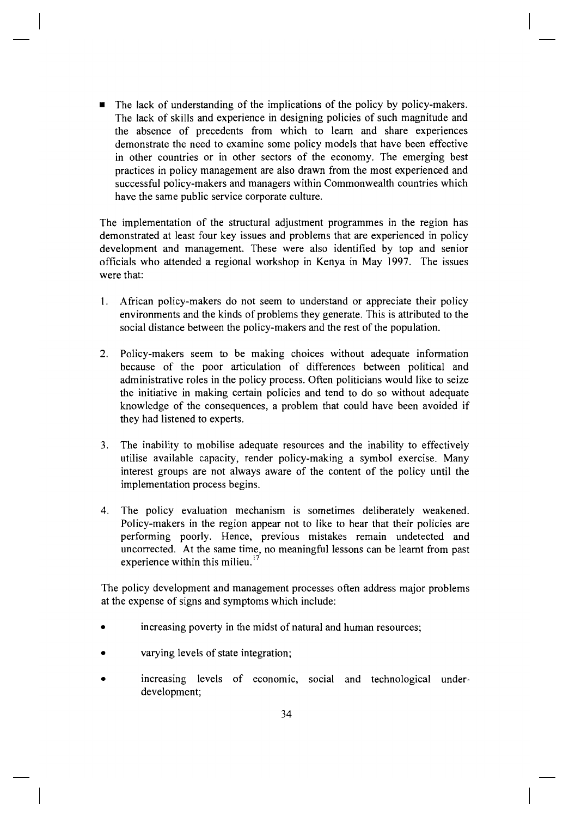• The lack of understanding of the implications of the policy by policy-makers. The lack of skills and experience in designing policies of such magnitude and the absence of precedents from which to learn and share experiences demonstrate the need to examine some policy models that have been effective in other countries or in other sectors of the economy. The emerging best practices in policy management are also drawn from the most experienced and successful policy-makers and managers within Commonwealth countries which have the same public service corporate culture.

The implementation of the structural adjustment programmes in the region has demonstrated at least four key issues and problems that are experienced in policy development and management. These were also identified by top and senior officials who attended a regional workshop in Kenya in May 1997. The issues were that:

- 1. African policy-makers do not seem to understand or appreciate their policy environments and the kinds of problems they generate. This is attributed to the social distance between the policy-makers and the rest of the population.
- 2. Policy-makers seem to be making choices without adequate information because of the poor articulation of differences between political and administrative roles in the policy process. Often politicians would like to seize the initiative in making certain policies and tend to do so without adequate knowledge of the consequences, a problem that could have been avoided if they had listened to experts.
- 3. The inability to mobilise adequate resources and the inability to effectively utilise available capacity, render policy-making a symbol exercise. Many interest groups are not always aware of the content of the policy until the implementation process begins.
- 4. The policy evaluation mechanism is sometimes deliberately weakened. Policy-makers in the region appear not to like to hear that their policies are performing poorly. Hence, previous mistakes remain undetected and uncorrected. At the same time, no meaningful lessons can be learnt from past experience within this milieu. $^{17}$

The policy development and management processes often address major problems at the expense of signs and symptoms which include:

- increasing poverty in the midst of natural and human resources;
- varying levels of state integration;
- increasing levels of economic, social and technological underdevelopment;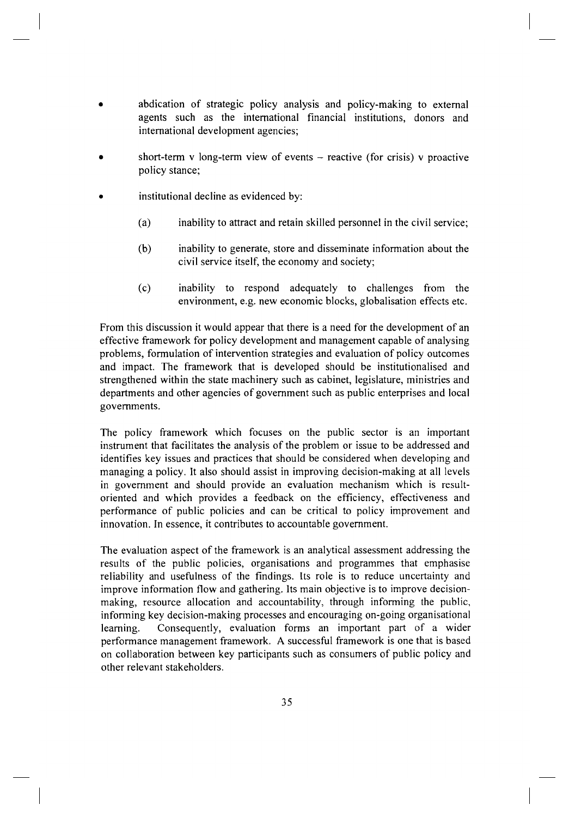- abdication of strategic policy analysis and policy-making to external agents such as the international financial institutions, donors and international development agencies;
- short-term v long-term view of events  $-$  reactive (for crisis) v proactive policy stance;
- institutional decline as evidenced by:
	- (a) inability to attract and retain skilled personnel in the civil service;
	- (b) inability to generate, store and disseminate information about the civil service itself, the economy and society;
	- (c) inability to respond adequately to challenges from the environment, e.g. new economic blocks, globalisation effects etc.

From this discussion it would appear that there is a need for the development of an effective framework for policy development and management capable of analysing problems, formulation of intervention strategies and evaluation of policy outcomes and impact. The framework that is developed should be institutionalised and strengthened within the state machinery such as cabinet, legislature, ministries and departments and other agencies of government such as public enterprises and local governments.

The policy framework which focuses on the public sector is an important instrument that facilitates the analysis of the problem or issue to be addressed and identifies key issues and practices that should be considered when developing and managing a policy. It also should assist in improving decision-making at all levels in government and should provide an evaluation mechanism which is resultoriented and which provides a feedback on the efficiency, effectiveness and performance of public policies and can be critical to policy improvement and innovation. In essence, it contributes to accountable government.

The evaluation aspect of the framework is an analytical assessment addressing the results of the public policies, organisations and programmes that emphasise reliability and usefulness of the findings. Its role is to reduce uncertainty and improve information flow and gathering. Its main objective is to improve decisionmaking, resource allocation and accountability, through informing the public, informing key decision-making processes and encouraging on-going organisational learning. Consequently, evaluation forms an important part of a wider performance management framework. A successful framework is one that is based on collaboration between key participants such as consumers of public policy and other relevant stakeholders.